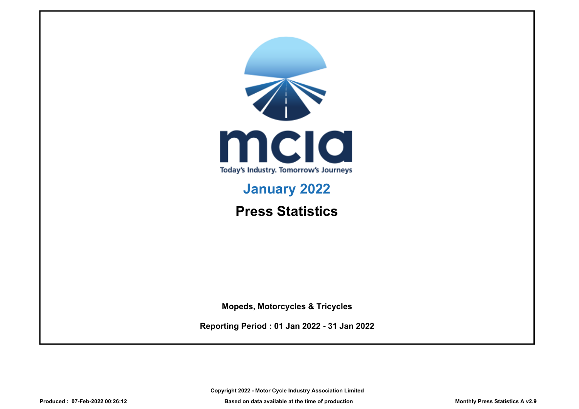

# **January 2022**

**Press Statistics**

**Mopeds, Motorcycles & Tricycles**

**Reporting Period : 01 Jan 2022 - 31 Jan 2022**

**Copyright 2022 - Motor Cycle Industry Association Limited**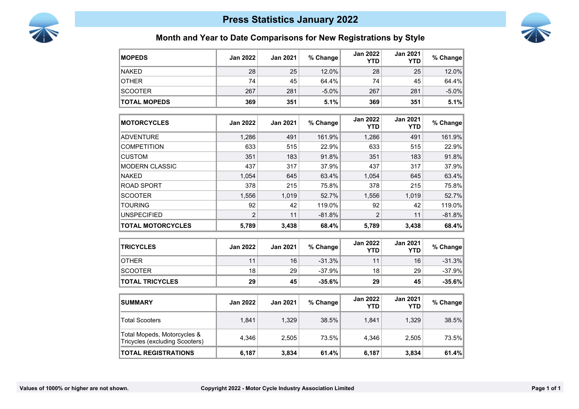



### **Month and Year to Date Comparisons for New Registrations by Style**

| <b>MOPEDS</b>                                                 | <b>Jan 2022</b> | <b>Jan 2021</b> | % Change | <b>Jan 2022</b><br>YTD        | <b>Jan 2021</b><br><b>YTD</b> | % Change |
|---------------------------------------------------------------|-----------------|-----------------|----------|-------------------------------|-------------------------------|----------|
| <b>NAKED</b>                                                  | 28              | 25              | 12.0%    | 28                            | 25                            | 12.0%    |
| <b>OTHER</b>                                                  | 74              | 45              | 64.4%    | 74                            | 45                            | 64.4%    |
| <b>SCOOTER</b>                                                | 267             | 281             | $-5.0%$  | 267                           | 281                           | $-5.0%$  |
| <b>TOTAL MOPEDS</b>                                           | 369             | 351             | 5.1%     | 369                           | 351                           | 5.1%     |
| <b>MOTORCYCLES</b>                                            | <b>Jan 2022</b> | <b>Jan 2021</b> | % Change | <b>Jan 2022</b><br><b>YTD</b> | <b>Jan 2021</b><br><b>YTD</b> | % Change |
| <b>ADVENTURE</b>                                              | 1,286           | 491             | 161.9%   | 1,286                         | 491                           | 161.9%   |
| <b>COMPETITION</b>                                            | 633             | 515             | 22.9%    | 633                           | 515                           | 22.9%    |
| <b>CUSTOM</b>                                                 | 351             | 183             | 91.8%    | 351                           | 183                           | 91.8%    |
| <b>MODERN CLASSIC</b>                                         | 437             | 317             | 37.9%    | 437                           | 317                           | 37.9%    |
| <b>NAKED</b>                                                  | 1,054           | 645             | 63.4%    | 1,054                         | 645                           | 63.4%    |
| <b>ROAD SPORT</b>                                             | 378             | 215             | 75.8%    | 378                           | 215                           | 75.8%    |
| <b>SCOOTER</b>                                                | 1,556           | 1,019           | 52.7%    | 1,556                         | 1,019                         | 52.7%    |
| <b>TOURING</b>                                                | 92              | 42              | 119.0%   | 92                            | 42                            | 119.0%   |
| <b>UNSPECIFIED</b>                                            | $\overline{2}$  | 11              | $-81.8%$ | $\overline{2}$                | 11                            | $-81.8%$ |
| <b>TOTAL MOTORCYCLES</b>                                      | 5,789           | 3,438           | 68.4%    | 5,789                         | 3,438                         | 68.4%    |
| <b>TRICYCLES</b>                                              | <b>Jan 2022</b> | <b>Jan 2021</b> | % Change | <b>Jan 2022</b><br><b>YTD</b> | <b>Jan 2021</b><br><b>YTD</b> | % Change |
| <b>OTHER</b>                                                  | 11              | 16              | $-31.3%$ | 11                            | 16                            | $-31.3%$ |
| <b>SCOOTER</b>                                                | 18              | 29              | $-37.9%$ | 18                            | 29                            | $-37.9%$ |
| <b>TOTAL TRICYCLES</b>                                        | 29              | 45              | $-35.6%$ | 29                            | 45                            | $-35.6%$ |
| <b>SUMMARY</b>                                                | <b>Jan 2022</b> | <b>Jan 2021</b> | % Change | <b>Jan 2022</b><br><b>YTD</b> | <b>Jan 2021</b><br><b>YTD</b> | % Change |
| <b>Total Scooters</b>                                         | 1,841           | 1,329           | 38.5%    | 1,841                         | 1,329                         | 38.5%    |
| Total Mopeds, Motorcycles &<br>Tricycles (excluding Scooters) | 4,346           | 2,505           | 73.5%    | 4,346                         | 2,505                         | 73.5%    |
| <b>TOTAL REGISTRATIONS</b>                                    | 6,187           | 3,834           | 61.4%    | 6,187                         | 3,834                         | 61.4%    |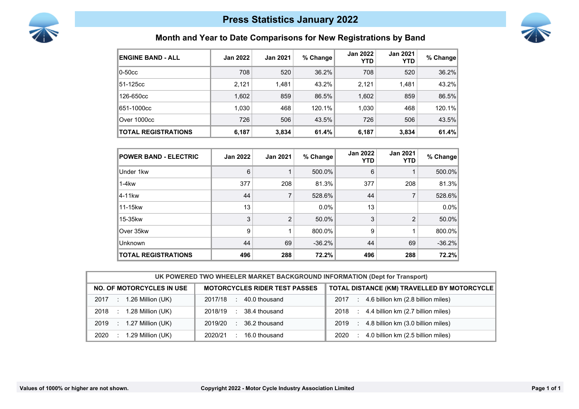



# **Month and Year to Date Comparisons for New Registrations by Band**

| <b>ENGINE BAND - ALL</b>   | <b>Jan 2022</b> | <b>Jan 2021</b> | % Change | <b>Jan 2022</b><br><b>YTD</b> | <b>Jan 2021</b><br><b>YTD</b> | % Change |
|----------------------------|-----------------|-----------------|----------|-------------------------------|-------------------------------|----------|
| $ 0 - 50c$ c               | 708             | 520             | 36.2%    | 708                           | 520                           | 36.2%    |
| 51-125cc                   | 2,121           | 1,481           | 43.2%    | 2,121                         | 1,481                         | 43.2%    |
| 126-650cc                  | 1,602           | 859             | 86.5%    | 1,602                         | 859                           | 86.5%    |
| 651-1000cc                 | 1,030           | 468             | 120.1%   | 1,030                         | 468                           | 120.1%   |
| Over 1000cc                | 726             | 506             | 43.5%    | 726                           | 506                           | 43.5%    |
| <b>TOTAL REGISTRATIONS</b> | 6,187           | 3,834           | 61.4%    | 6,187                         | 3,834                         | 61.4%    |

| <b>POWER BAND - ELECTRIC</b> | <b>Jan 2022</b> | <b>Jan 2021</b> | % Change | <b>Jan 2022</b><br>YTD | <b>Jan 2021</b><br><b>YTD</b> | % Change |
|------------------------------|-----------------|-----------------|----------|------------------------|-------------------------------|----------|
| Under 1kw                    | 6               |                 | 500.0%   | 6                      |                               | 500.0%   |
| $1-4kw$                      | 377             | 208             | 81.3%    | 377                    | 208                           | 81.3%    |
| 14-11kw                      | 44              |                 | 528.6%   | 44                     | 7                             | 528.6%   |
| 11-15kw                      | 13              |                 | $0.0\%$  | 13                     |                               | $0.0\%$  |
| 15-35kw                      | 3               | $\mathfrak{p}$  | 50.0%    | 3                      | $\overline{2}$                | 50.0%    |
| Over 35kw                    | 9               |                 | 800.0%   | 9                      |                               | 800.0%   |
| Unknown                      | 44              | 69              | $-36.2%$ | 44                     | 69                            | $-36.2%$ |
| <b>TOTAL REGISTRATIONS</b>   | 496             | 288             | 72.2%    | 496                    | 288                           | 72.2%    |

| UK POWERED TWO WHEELER MARKET BACKGROUND INFORMATION (Dept for Transport) |                                      |                                                   |  |  |
|---------------------------------------------------------------------------|--------------------------------------|---------------------------------------------------|--|--|
| <b>NO. OF MOTORCYCLES IN USE</b>                                          | <b>MOTORCYCLES RIDER TEST PASSES</b> | TOTAL DISTANCE (KM) TRAVELLED BY MOTORCYCLE       |  |  |
| 1.26 Million (UK)<br>2017                                                 | 40.0 thousand<br>2017/18<br>$\sim$   | 4.6 billion km (2.8 billion miles)<br>2017<br>÷   |  |  |
| 1.28 Million (UK)<br>2018                                                 | 38.4 thousand<br>2018/19<br>л.       | 4.4 billion km (2.7 billion miles)<br>2018<br>-11 |  |  |
| 1.27 Million (UK)<br>2019<br>VD.                                          | 36.2 thousand<br>2019/20<br>٠.       | 4.8 billion km (3.0 billion miles)<br>2019<br>÷   |  |  |
| 1.29 Million (UK)<br>2020                                                 | 16.0 thousand<br>2020/21             | 4.0 billion km (2.5 billion miles)<br>2020        |  |  |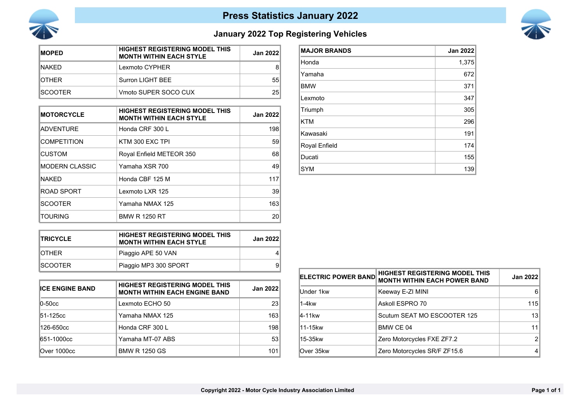



# **January 2022 Top Registering Vehicles**

| <b>IMOPED</b>   | <b>HIGHEST REGISTERING MODEL THIS</b><br><b>MONTH WITHIN EACH STYLE</b> | Jan 2022 |
|-----------------|-------------------------------------------------------------------------|----------|
| INAKFD.         | Lexmoto CYPHER                                                          | 8        |
| <b>IOTHER</b>   | Surron LIGHT BEE                                                        | 55       |
| <b>ISCOOTER</b> | Vmoto SUPER SOCO CUX                                                    | 25       |

| <b>MOTORCYCLE</b>  | <b>HIGHEST REGISTERING MODEL THIS</b><br><b>MONTH WITHIN EACH STYLE</b> | <b>Jan 2022</b> |
|--------------------|-------------------------------------------------------------------------|-----------------|
| <b>ADVENTURE</b>   | Honda CRF 300 L                                                         | 198             |
| <b>COMPETITION</b> | KTM 300 EXC TPI                                                         | 59              |
| <b>CUSTOM</b>      | Royal Enfield METEOR 350                                                | 68              |
| IMODERN CLASSIC    | Yamaha XSR 700                                                          | 49              |
| <b>NAKFD</b>       | Honda CBF 125 M                                                         | 117             |
| ROAD SPORT         | Lexmoto LXR 125                                                         | 39              |
| <b>ISCOOTER</b>    | Yamaha NMAX 125                                                         | 163             |
| TOURING            | <b>BMW R 1250 RT</b>                                                    | 20              |

| <b>MAJOR BRANDS</b> | <b>Jan 2022</b> |
|---------------------|-----------------|
| Honda               | 1,375           |
| Yamaha              | 672             |
| <b>BMW</b>          | 371             |
| Lexmoto             | 347             |
| Triumph             | 305             |
| <b>KTM</b>          | 296             |
| Kawasaki            | 191             |
| Royal Enfield       | 174             |
| Ducati              | 155             |
| <b>SYM</b>          | 139             |

| <b>ITRICYCLE</b> | <b>HIGHEST REGISTERING MODEL THIS</b><br><b>MONTH WITHIN EACH STYLE</b> | <b>Jan 2022</b> |
|------------------|-------------------------------------------------------------------------|-----------------|
| <b>IOTHER</b>    | Piaggio APE 50 VAN                                                      | Δ               |
| ISCOOTFR.        | Piaggio MP3 300 SPORT                                                   | 9               |

| <b>ICE ENGINE BAND</b>            | <b>HIGHEST REGISTERING MODEL THIS</b><br><b>MONTH WITHIN EACH ENGINE BAND</b> | Jan 2022 |
|-----------------------------------|-------------------------------------------------------------------------------|----------|
| $\overline{0}$ -50 $\overline{c}$ | Lexmoto ECHO 50                                                               | 23       |
| l51-125cc                         | Yamaha NMAX 125                                                               | 163      |
| 126-650cc                         | Honda CRF 300 L                                                               | 198      |
| 651-1000cc                        | Yamaha MT-07 ABS                                                              | 53       |
| Over 1000cc                       | <b>BMW R 1250 GS</b>                                                          | 101      |

| <b>ELECTRIC POWER BAND</b> | HIGHEST REGISTERING MODEL THIS<br><b>MONTH WITHIN EACH POWER BAND</b> | <b>Jan 2022</b> |
|----------------------------|-----------------------------------------------------------------------|-----------------|
| Under 1kw                  | Keeway E-ZI MINI                                                      | 6               |
| 1-4kw                      | Askoll ESPRO 70                                                       | 115             |
| 4-11kw                     | Scutum SEAT MO ESCOOTER 125                                           | 13              |
| l11-15kw                   | BMW CE 04                                                             | 11              |
| l15-35kw                   | Zero Motorcycles FXE ZF7.2                                            |                 |
| Over 35kw                  | Zero Motorcycles SR/F ZF15.6                                          |                 |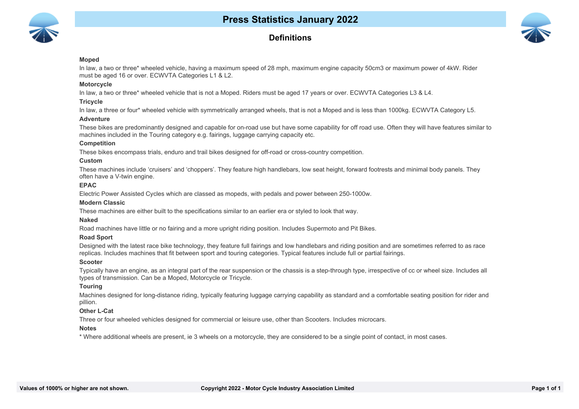

### **Definitions**



#### **Moped**

In law, a two or three\* wheeled vehicle, having a maximum speed of 28 mph, maximum engine capacity 50cm3 or maximum power of 4kW. Rider must be aged 16 or over. ECWVTA Categories L1 & L2.

#### **Motorcycle**

In law, a two or three\* wheeled vehicle that is not a Moped. Riders must be aged 17 years or over. ECWVTA Categories L3 & L4.

#### **Tricycle**

In law, a three or four\* wheeled vehicle with symmetrically arranged wheels, that is not a Moped and is less than 1000kg. ECWVTA Category L5.

#### **Adventure**

These bikes are predominantly designed and capable for on-road use but have some capability for off road use. Often they will have features similar to machines included in the Touring category e.g. fairings, luggage carrying capacity etc.

#### **Competition**

These bikes encompass trials, enduro and trail bikes designed for off-road or cross-country competition.

#### **Custom**

These machines include 'cruisers' and 'choppers'. They feature high handlebars, low seat height, forward footrests and minimal body panels. They often have a V-twin engine.

#### **EPAC**

Electric Power Assisted Cycles which are classed as mopeds, with pedals and power between 250-1000w.

#### **Modern Classic**

These machines are either built to the specifications similar to an earlier era or styled to look that way.

#### **Naked**

Road machines have little or no fairing and a more upright riding position. Includes Supermoto and Pit Bikes.

#### **10 Road Sport**

Designed with the latest race bike technology, they feature full fairings and low handlebars and riding position and are sometimes referred to as race replicas. Includes machines that fit between sport and touring categories. Typical features include full or partial fairings.

#### **11 Scooter**

Typically have an engine, as an integral part of the rear suspension or the chassis is a step-through type, irrespective of cc or wheel size. Includes all types of transmission. Can be a Moped, Motorcycle or Tricycle.

#### **12 Touring**

Machines designed for long-distance riding, typically featuring luggage carrying capability as standard and a comfortable seating position for rider and pillion.

#### **13 Other L-Cat**

Three or four wheeled vehicles designed for commercial or leisure use, other than Scooters. Includes microcars.

#### **14 Notes**

\* Where additional wheels are present, ie 3 wheels on a motorcycle, they are considered to be a single point of contact, in most cases.